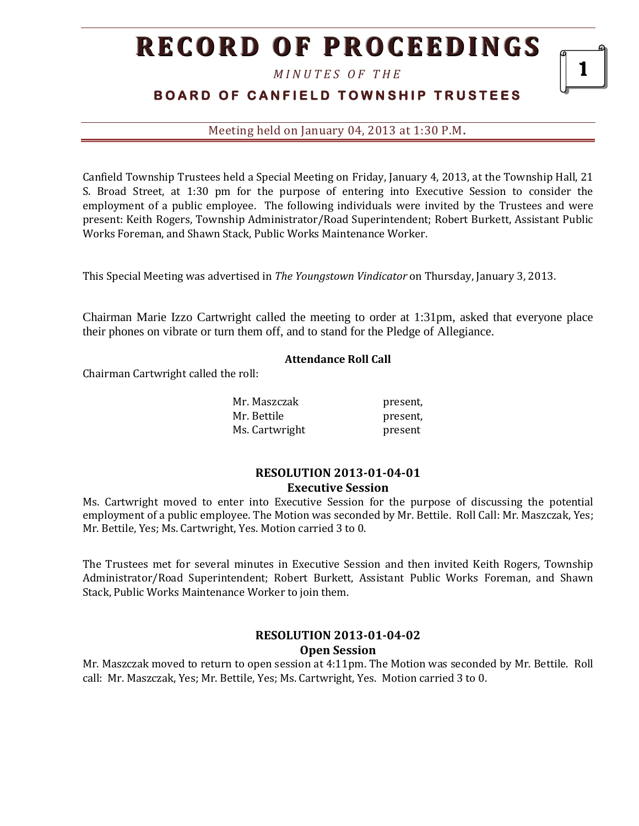# **RECORD OF PROCEEDINGS**

*M I N U T E S O F T H E* 

### **BOARD OF CANFIELD TOWNSHIP TRUSTEES**

Meeting held on January 04, 2013 at 1:30 P.M**.**

Canfield Township Trustees held a Special Meeting on Friday, January 4, 2013, at the Township Hall, 21 S. Broad Street, at 1:30 pm for the purpose of entering into Executive Session to consider the employment of a public employee. The following individuals were invited by the Trustees and were present: Keith Rogers, Township Administrator/Road Superintendent; Robert Burkett, Assistant Public Works Foreman, and Shawn Stack, Public Works Maintenance Worker.

This Special Meeting was advertised in *The Youngstown Vindicator* on Thursday, January 3, 2013.

Chairman Marie Izzo Cartwright called the meeting to order at 1:31pm, asked that everyone place their phones on vibrate or turn them off, and to stand for the Pledge of Allegiance.

#### **Attendance Roll Call**

Chairman Cartwright called the roll:

| Mr. Maszczak   | present, |
|----------------|----------|
| Mr. Bettile    | present, |
| Ms. Cartwright | present  |

#### **RESOLUTION 2013-01-04-01 Executive Session**

Ms. Cartwright moved to enter into Executive Session for the purpose of discussing the potential employment of a public employee. The Motion was seconded by Mr. Bettile. Roll Call: Mr. Maszczak, Yes; Mr. Bettile, Yes; Ms. Cartwright, Yes. Motion carried 3 to 0.

The Trustees met for several minutes in Executive Session and then invited Keith Rogers, Township Administrator/Road Superintendent; Robert Burkett, Assistant Public Works Foreman, and Shawn Stack, Public Works Maintenance Worker to join them.

#### **RESOLUTION 2013-01-04-02 Open Session**

Mr. Maszczak moved to return to open session at 4:11pm. The Motion was seconded by Mr. Bettile. Roll call: Mr. Maszczak, Yes; Mr. Bettile, Yes; Ms. Cartwright, Yes. Motion carried 3 to 0.

1